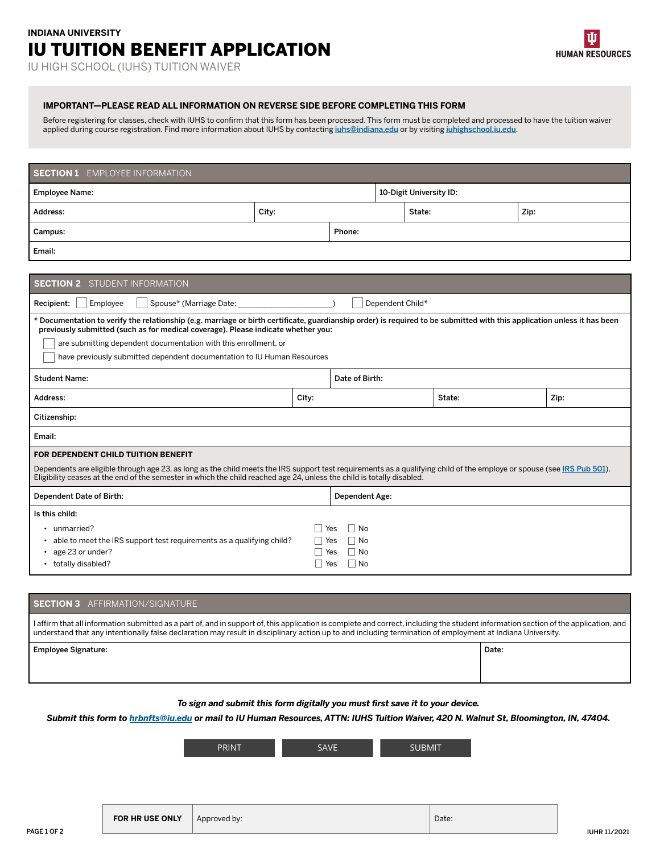# **INDIANA UNIVERSITY**  IU TUITION BENEFIT APPLICATION

# **IMPORTANT—PLEASE READ ALL INFORMATION ON REVERSE SIDE BEFORE COMPLETING THIS FORM**

Before registering for classes, check with IUHS to confirm that this form has been processed. This form must be completed and processed to have the tuition waiver applied during course registration. Find more information about IUHS by contacting *[iuhs@indiana.edu](mailto:iuhs@indiana.edu)* or by visiting *[iuhighschool.iu.edu](https://iuhighschool.iu.edu/)*.

| <b>SECTION 1</b> EMPLOYEE INFORMATION                                                                                                                                                                                                                                                                                                                                                                       |       |       |                                                             |        |                         |  |      |  |
|-------------------------------------------------------------------------------------------------------------------------------------------------------------------------------------------------------------------------------------------------------------------------------------------------------------------------------------------------------------------------------------------------------------|-------|-------|-------------------------------------------------------------|--------|-------------------------|--|------|--|
| <b>Employee Name:</b>                                                                                                                                                                                                                                                                                                                                                                                       |       |       |                                                             |        | 10-Digit University ID: |  |      |  |
| Address:                                                                                                                                                                                                                                                                                                                                                                                                    | City: |       |                                                             | State: |                         |  | Zip: |  |
| Campus:                                                                                                                                                                                                                                                                                                                                                                                                     |       |       | Phone:                                                      |        |                         |  |      |  |
| Email:                                                                                                                                                                                                                                                                                                                                                                                                      |       |       |                                                             |        |                         |  |      |  |
|                                                                                                                                                                                                                                                                                                                                                                                                             |       |       |                                                             |        |                         |  |      |  |
| <b>SECTION 2</b> STUDENT INFORMATION                                                                                                                                                                                                                                                                                                                                                                        |       |       |                                                             |        |                         |  |      |  |
| Spouse* (Marriage Date:<br>Dependent Child*<br>Recipient:<br>Employee                                                                                                                                                                                                                                                                                                                                       |       |       |                                                             |        |                         |  |      |  |
| * Documentation to verify the relationship (e.g. marriage or birth certificate, guardianship order) is required to be submitted with this application unless it has been<br>previously submitted (such as for medical coverage). Please indicate whether you:<br>are submitting dependent documentation with this enrollment, or<br>have previously submitted dependent documentation to IU Human Resources |       |       |                                                             |        |                         |  |      |  |
| <b>Student Name:</b>                                                                                                                                                                                                                                                                                                                                                                                        |       |       | Date of Birth:                                              |        |                         |  |      |  |
| Address:<br>City:                                                                                                                                                                                                                                                                                                                                                                                           |       |       |                                                             |        | State:                  |  | Zip: |  |
| Citizenship:                                                                                                                                                                                                                                                                                                                                                                                                |       |       |                                                             |        |                         |  |      |  |
| Email:                                                                                                                                                                                                                                                                                                                                                                                                      |       |       |                                                             |        |                         |  |      |  |
| FOR DEPENDENT CHILD TUITION BENEFIT<br>Dependents are eligible through age 23, as long as the child meets the IRS support test requirements as a qualifying child of the employe or spouse (see IRS Pub 501).<br>Eligibility ceases at the end of the semester in which the child reached age 24, unless the child is totally disabled.                                                                     |       |       |                                                             |        |                         |  |      |  |
| Dependent Date of Birth:                                                                                                                                                                                                                                                                                                                                                                                    |       |       | Dependent Age:                                              |        |                         |  |      |  |
| Is this child:<br>• unmarried?<br>able to meet the IRS support test requirements as a qualifying child?<br>age 23 or under?<br>• totally disabled?                                                                                                                                                                                                                                                          |       | ∣ Yes | $\Box$ No<br>Yes<br>∣∣No<br>Yes<br>∣ No<br>Yes<br>$\Box$ No |        |                         |  |      |  |

# — **SECTION 3** AFFIRMATION/SIGNATURE

I affirm that all information submitted as a part of, and in support of, this application is complete and correct, including the student information section of the application, and understand that any intentionally false declaration may result in disciplinary action up to and including termination of employment at Indiana University.

| Date: |
|-------|
|       |

*To sign and submit this form digitally you must frst save it to your device.* 

*Submit this form to [hrbnfts@iu.edu](mailto:hrbnfts@iu.edu) or mail to IU Human Resources, ATTN: IUHS Tuition Waiver, 420 N. Walnut St, Bloomington, IN, 47404.* 

| <b>PRINT</b> | $\cdots$<br>っ | <b>CLIBMIT</b> |
|--------------|---------------|----------------|
|--------------|---------------|----------------|